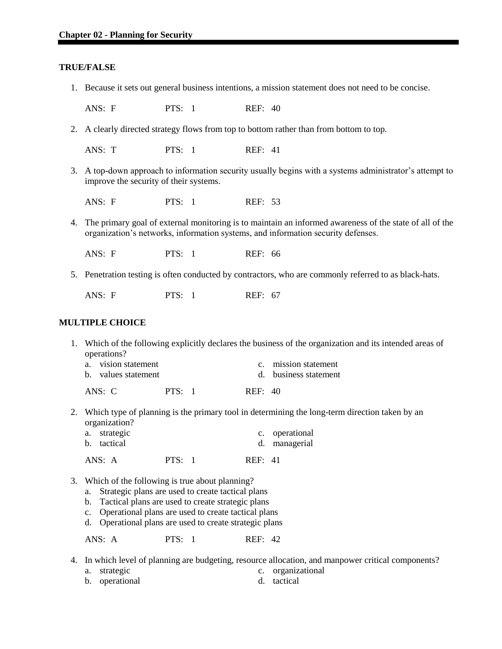### **TRUE/FALSE**

1. Because it sets out general business intentions, a mission statement does not need to be concise.

ANS: F PTS: 1 REF: 40

2. A clearly directed strategy flows from top to bottom rather than from bottom to top.

ANS: T PTS: 1 REF: 41

3. A top-down approach to information security usually begins with a systems administrator's attempt to improve the security of their systems.

ANS: F PTS: 1 REF: 53

4. The primary goal of external monitoring is to maintain an informed awareness of the state of all of the organization's networks, information systems, and information security defenses.

ANS: F PTS: 1 REF: 66

5. Penetration testing is often conducted by contractors, who are commonly referred to as black-hats.

ANS: F PTS: 1 REF: 67

### **MULTIPLE CHOICE**

1. Which of the following explicitly declares the business of the organization and its intended areas of operations?

| a. vision statement | c. mission statement  |
|---------------------|-----------------------|
| b. values statement | d. business statement |
|                     |                       |

ANS: C PTS: 1 REF: 40

2. Which type of planning is the primary tool in determining the long-term direction taken by an organization?

| a. strategic | c. operational |
|--------------|----------------|
| b. tactical  | d. managerial  |
|              |                |

ANS: A PTS: 1 REF: 41

- 3. Which of the following is true about planning?
	- a. Strategic plans are used to create tactical plans
	- b. Tactical plans are used to create strategic plans
	- c. Operational plans are used to create tactical plans
	- d. Operational plans are used to create strategic plans

ANS: A PTS: 1 REF: 42

- 4. In which level of planning are budgeting, resource allocation, and manpower critical components?
	- a. strategic c. organizational
	- b. operational d. tactical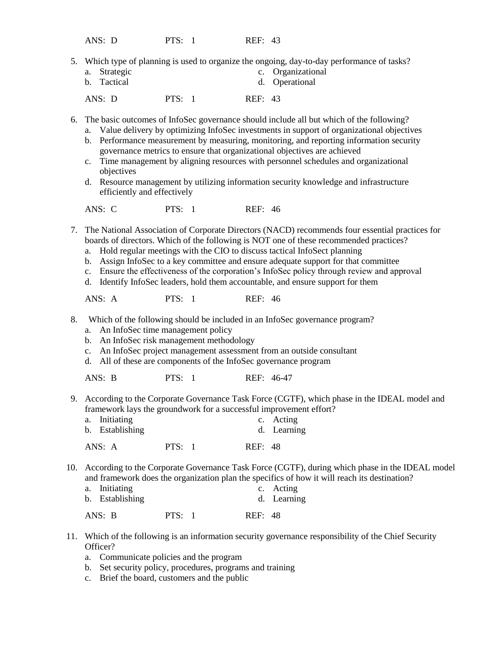ANS: D PTS: 1 REF: 43

- 5. Which type of planning is used to organize the ongoing, day-to-day performance of tasks?
	- a. Strategic c. Organizational<br>b. Tactical d. Operational d. Operational

ANS: D PTS: 1 REF: 43

6. The basic outcomes of InfoSec governance should include all but which of the following?

- a. Value delivery by optimizing InfoSec investments in support of organizational objectives
- b. Performance measurement by measuring, monitoring, and reporting information security governance metrics to ensure that organizational objectives are achieved
- c. Time management by aligning resources with personnel schedules and organizational objectives
- d. Resource management by utilizing information security knowledge and infrastructure efficiently and effectively

ANS: C PTS: 1 REF: 46

- 7. The National Association of Corporate Directors (NACD) recommends four essential practices for boards of directors. Which of the following is NOT one of these recommended practices?
	- a. Hold regular meetings with the CIO to discuss tactical InfoSect planning
	- b. Assign InfoSec to a key committee and ensure adequate support for that committee
	- c. Ensure the effectiveness of the corporation's InfoSec policy through review and approval
	- d. Identify InfoSec leaders, hold them accountable, and ensure support for them

ANS: A PTS: 1 REF: 46

- 8. Which of the following should be included in an InfoSec governance program?
	- a. An InfoSec time management policy
	- b. An InfoSec risk management methodology
	- c. An InfoSec project management assessment from an outside consultant
	- d. All of these are components of the InfoSec governance program

ANS: B PTS: 1 REF: 46-47

9. According to the Corporate Governance Task Force (CGTF), which phase in the IDEAL model and framework lays the groundwork for a successful improvement effort?

| a. Initiating   | c. Acting   |
|-----------------|-------------|
| b. Establishing | d. Learning |

ANS: A PTS: 1 REF: 48

10. According to the Corporate Governance Task Force (CGTF), during which phase in the IDEAL model and framework does the organization plan the specifics of how it will reach its destination?

| a. Initiating<br>b. Establishing |        |                | c. Acting<br>d. Learning |
|----------------------------------|--------|----------------|--------------------------|
| ANS: B                           | PTS: 1 | <b>REF: 48</b> |                          |

- 11. Which of the following is an information security governance responsibility of the Chief Security Officer?
	- a. Communicate policies and the program
	- b. Set security policy, procedures, programs and training
	- c. Brief the board, customers and the public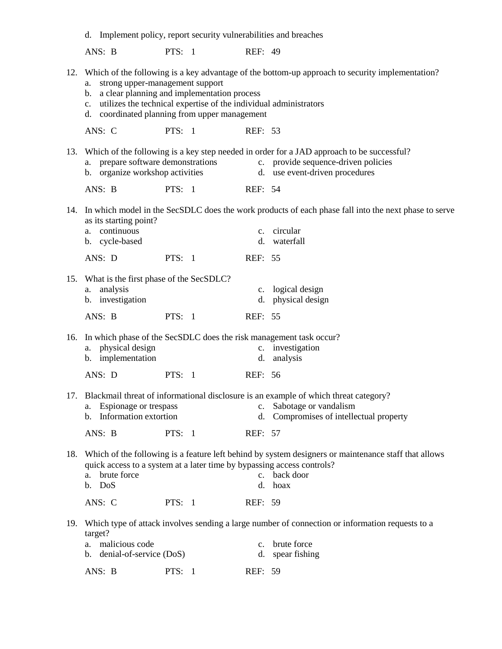|     | d. Implement policy, report security vulnerabilities and breaches                                                                                                                                                                                 |               |                |                                                                                                                                                                        |
|-----|---------------------------------------------------------------------------------------------------------------------------------------------------------------------------------------------------------------------------------------------------|---------------|----------------|------------------------------------------------------------------------------------------------------------------------------------------------------------------------|
|     | ANS: B                                                                                                                                                                                                                                            | PTS: $1$      | <b>REF: 49</b> |                                                                                                                                                                        |
|     | strong upper-management support<br>a.<br>a clear planning and implementation process<br>$\mathbf{b}$ .<br>utilizes the technical expertise of the individual administrators<br>$\mathbf{c}$ .<br>coordinated planning from upper management<br>d. |               |                | 12. Which of the following is a key advantage of the bottom-up approach to security implementation?                                                                    |
|     | ANS: C                                                                                                                                                                                                                                            | PTS: $1$      | REF: 53        |                                                                                                                                                                        |
|     | prepare software demonstrations<br>a.<br>b. organize workshop activities                                                                                                                                                                          |               |                | 13. Which of the following is a key step needed in order for a JAD approach to be successful?<br>c. provide sequence-driven policies<br>d. use event-driven procedures |
|     | ANS: B                                                                                                                                                                                                                                            | PTS: $1$      | REF: 54        |                                                                                                                                                                        |
|     | as its starting point?<br>continuous<br>a.<br>b. cycle-based                                                                                                                                                                                      |               |                | 14. In which model in the SecSDLC does the work products of each phase fall into the next phase to serve<br>c. circular<br>d. waterfall                                |
|     | ANS: D                                                                                                                                                                                                                                            | PTS: $1$      | REF: 55        |                                                                                                                                                                        |
|     | 15. What is the first phase of the SecSDLC?<br>analysis<br>a.<br>b. investigation<br>ANS: B                                                                                                                                                       | PTS: $1$      | REF: 55        | c. logical design<br>d. physical design                                                                                                                                |
|     | 16. In which phase of the SecSDLC does the risk management task occur?<br>physical design<br>a.<br>b. implementation                                                                                                                              |               |                | c. investigation<br>d. analysis                                                                                                                                        |
|     | ANS: D                                                                                                                                                                                                                                            | PTS: $1$      | REF: 56        |                                                                                                                                                                        |
|     | Espionage or trespass<br>a.<br>Information extortion<br>$b_{1}$<br>ANS: B                                                                                                                                                                         | PTS: $1$      | REF: 57        | 17. Blackmail threat of informational disclosure is an example of which threat category?<br>c. Sabotage or vandalism<br>d. Compromises of intellectual property        |
|     | quick access to a system at a later time by bypassing access controls?<br>a. brute force<br>b. DoS                                                                                                                                                |               |                | 18. Which of the following is a feature left behind by system designers or maintenance staff that allows<br>c. back door<br>d. hoax                                    |
|     | ANS: C                                                                                                                                                                                                                                            | <b>PTS: 1</b> | REF: 59        |                                                                                                                                                                        |
| 19. | target?<br>a. malicious code                                                                                                                                                                                                                      |               | $c_{\cdot}$    | Which type of attack involves sending a large number of connection or information requests to a<br>brute force                                                         |
|     | b. denial-of-service (DoS)<br>ANS: B                                                                                                                                                                                                              | PTS: $1$      | REF: 59        | d. spear fishing                                                                                                                                                       |
|     |                                                                                                                                                                                                                                                   |               |                |                                                                                                                                                                        |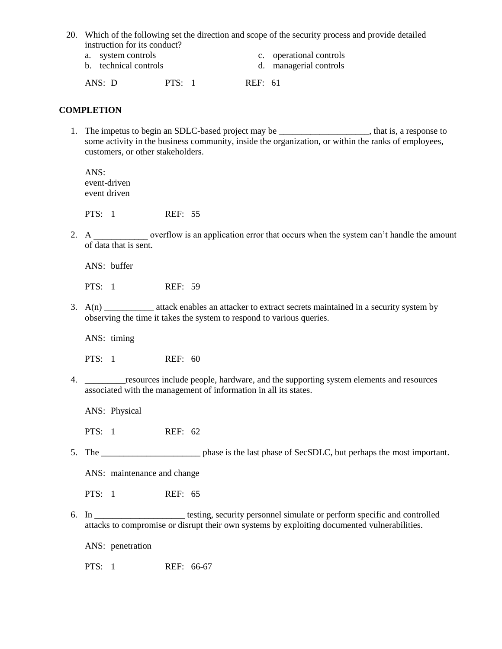20. Which of the following set the direction and scope of the security process and provide detailed instruction for its conduct?

- 
- 
- a. system controls c. operational controls
- b. technical controls d. managerial controls

ANS: D PTS: 1 REF: 61

## **COMPLETION**

1. The impetus to begin an SDLC-based project may be \_\_\_\_\_\_\_\_\_\_\_\_\_\_\_\_\_\_\_\_, that is, a response to some activity in the business community, inside the organization, or within the ranks of employees, customers, or other stakeholders.

ANS: event-driven event driven

PTS: 1 REF: 55

2. A \_\_\_\_\_\_\_\_\_\_\_\_\_ overflow is an application error that occurs when the system can't handle the amount of data that is sent.

ANS: buffer

PTS: 1 REF: 59

3. A(n) \_\_\_\_\_\_\_\_\_\_\_ attack enables an attacker to extract secrets maintained in a security system by observing the time it takes the system to respond to various queries.

ANS: timing

PTS: 1 REF: 60

4. \_\_\_\_\_\_\_\_\_resources include people, hardware, and the supporting system elements and resources associated with the management of information in all its states.

ANS: Physical

PTS: 1 REF: 62

5. The \_\_\_\_\_\_\_\_\_\_\_\_\_\_\_\_\_\_\_\_\_\_ phase is the last phase of SecSDLC, but perhaps the most important.

ANS: maintenance and change

- 6. In \_\_\_\_\_\_\_\_\_\_\_\_\_\_\_\_\_\_\_\_ testing, security personnel simulate or perform specific and controlled attacks to compromise or disrupt their own systems by exploiting documented vulnerabilities.
	- ANS: penetration
	- PTS: 1 REF: 66-67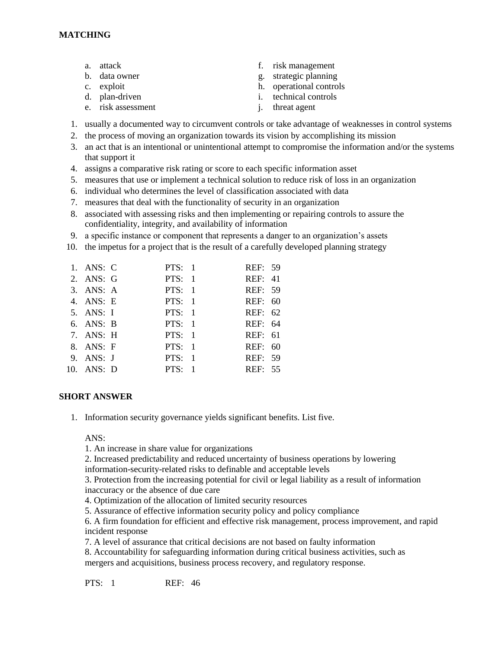- 
- 
- 
- 
- e. risk assessment i. threat agent
- a. attack f. risk management
- b. data owner g. strategic planning
- c. exploit h. operational controls
- d. plan-driven i. technical controls
	-
- 1. usually a documented way to circumvent controls or take advantage of weaknesses in control systems
- 2. the process of moving an organization towards its vision by accomplishing its mission
- 3. an act that is an intentional or unintentional attempt to compromise the information and/or the systems that support it
- 4. assigns a comparative risk rating or score to each specific information asset
- 5. measures that use or implement a technical solution to reduce risk of loss in an organization
- 6. individual who determines the level of classification associated with data
- 7. measures that deal with the functionality of security in an organization
- 8. associated with assessing risks and then implementing or repairing controls to assure the confidentiality, integrity, and availability of information
- 9. a specific instance or component that represents a danger to an organization's assets
- 10. the impetus for a project that is the result of a carefully developed planning strategy

| 1. ANS: C      |               | PTS: $1$ | REF: 59        |  |
|----------------|---------------|----------|----------------|--|
| 2. ANS: G      |               | PTS: 1   | <b>REF: 41</b> |  |
| 3. ANS: A      | PTS: 1        |          | REF: 59        |  |
| 4. ANS: E      | PTS: 1        |          | REF: 60        |  |
| 5. ANS: I      | PTS: 1        |          | REF: 62        |  |
| 6. ANS: B      | PTS: 1        |          | REF: 64        |  |
| 7. ANS: H      | PTS: 1        |          | REF: 61        |  |
| 8. ANS: F      | PTS: 1        |          | REF: 60        |  |
| 9. ANS: J      | PTS: 1        |          | REF: 59        |  |
| $10.$ ANS: $D$ | <b>PTS: 1</b> |          | REF: 55        |  |
|                |               |          |                |  |

# **SHORT ANSWER**

1. Information security governance yields significant benefits. List five.

ANS:

1. An increase in share value for organizations

2. Increased predictability and reduced uncertainty of business operations by lowering information-security-related risks to definable and acceptable levels

3. Protection from the increasing potential for civil or legal liability as a result of information inaccuracy or the absence of due care

- 4. Optimization of the allocation of limited security resources
- 5. Assurance of effective information security policy and policy compliance
- 6. A firm foundation for efficient and effective risk management, process improvement, and rapid incident response
- 7. A level of assurance that critical decisions are not based on faulty information
- 8. Accountability for safeguarding information during critical business activities, such as mergers and acquisitions, business process recovery, and regulatory response.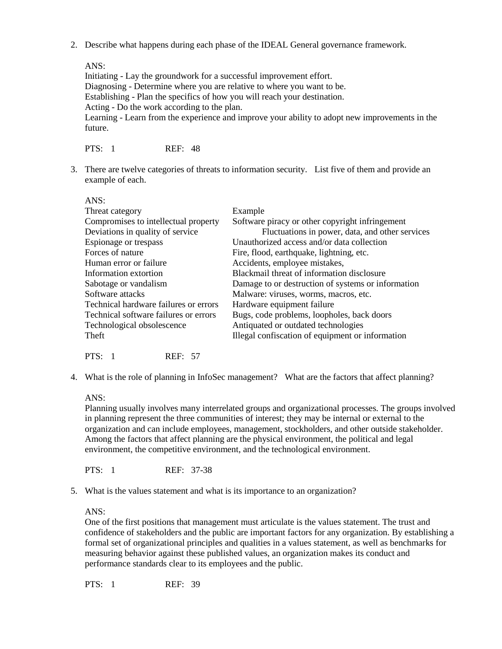2. Describe what happens during each phase of the IDEAL General governance framework.

ANS:

Initiating - Lay the groundwork for a successful improvement effort. Diagnosing - Determine where you are relative to where you want to be. Establishing - Plan the specifics of how you will reach your destination. Acting - Do the work according to the plan. Learning - Learn from the experience and improve your ability to adopt new improvements in the future.

PTS: 1 REF: 48

3. There are twelve categories of threats to information security. List five of them and provide an example of each.

| ANS:                                  |                                                    |
|---------------------------------------|----------------------------------------------------|
| Threat category                       | Example                                            |
| Compromises to intellectual property  | Software piracy or other copyright infringement    |
| Deviations in quality of service      | Fluctuations in power, data, and other services    |
| Espionage or trespass                 | Unauthorized access and/or data collection         |
| Forces of nature                      | Fire, flood, earthquake, lightning, etc.           |
| Human error or failure                | Accidents, employee mistakes,                      |
| Information extortion                 | Blackmail threat of information disclosure         |
| Sabotage or vandalism                 | Damage to or destruction of systems or information |
| Software attacks                      | Malware: viruses, worms, macros, etc.              |
| Technical hardware failures or errors | Hardware equipment failure                         |
| Technical software failures or errors | Bugs, code problems, loopholes, back doors         |
| Technological obsolescence            | Antiquated or outdated technologies                |
| Theft                                 | Illegal confiscation of equipment or information   |
|                                       |                                                    |

PTS: 1 REF: 57

4. What is the role of planning in InfoSec management? What are the factors that affect planning?

ANS:

Planning usually involves many interrelated groups and organizational processes. The groups involved in planning represent the three communities of interest; they may be internal or external to the organization and can include employees, management, stockholders, and other outside stakeholder. Among the factors that affect planning are the physical environment, the political and legal environment, the competitive environment, and the technological environment.

PTS: 1 REF: 37-38

5. What is the values statement and what is its importance to an organization?

ANS:

One of the first positions that management must articulate is the values statement. The trust and confidence of stakeholders and the public are important factors for any organization. By establishing a formal set of organizational principles and qualities in a values statement, as well as benchmarks for measuring behavior against these published values, an organization makes its conduct and performance standards clear to its employees and the public.